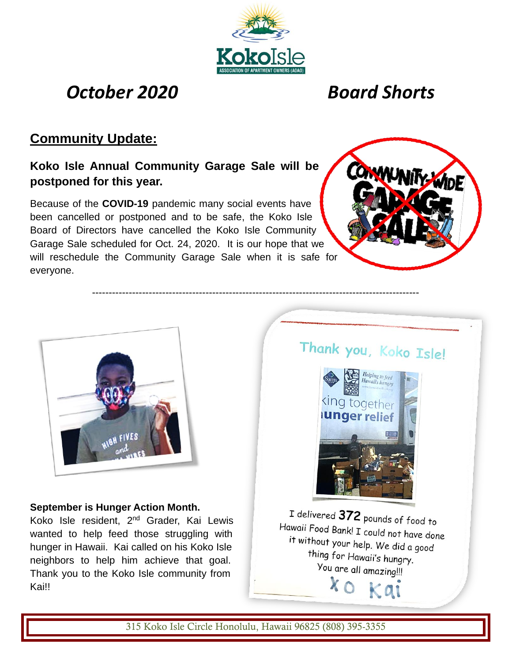

--------------------------------------------------------------------------------------------------

# *October 2020 Board Shorts*

## **Community Update:**

## **Koko Isle Annual Community Garage Sale will be postponed for this year.**

Because of the **COVID-19** pandemic many social events have been cancelled or postponed and to be safe, the Koko Isle Board of Directors have cancelled the Koko Isle Community Garage Sale scheduled for Oct. 24, 2020. It is our hope that we will reschedule the Community Garage Sale when it is safe for everyone.





#### **September is Hunger Action Month.**

Koko Isle resident, 2<sup>nd</sup> Grader, Kai Lewis wanted to help feed those struggling with hunger in Hawaii. Kai called on his Koko Isle neighbors to help him achieve that goal. Thank you to the Koko Isle community from Kai!!

Thank you, Koko Isle!



I delivered 372 pounds of food to Hawaii Food Bank! I could not have done it without your help. We did a good thing for Hawaii's hungry. You are all amazing!!! xo kai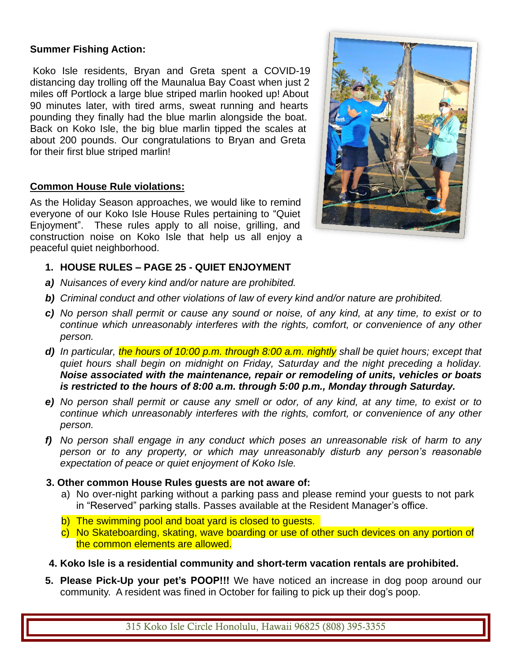#### **Summer Fishing Action:**

Koko Isle residents, Bryan and Greta spent a COVID-19 distancing day trolling off the Maunalua Bay Coast when just 2 miles off Portlock a large blue striped marlin hooked up! About 90 minutes later, with tired arms, sweat running and hearts pounding they finally had the blue marlin alongside the boat. Back on Koko Isle, the big blue marlin tipped the scales at about 200 pounds. Our congratulations to Bryan and Greta for their first blue striped marlin!

#### **Common House Rule violations:**

As the Holiday Season approaches, we would like to remind everyone of our Koko Isle House Rules pertaining to "Quiet Enjoyment". These rules apply to all noise, grilling, and construction noise on Koko Isle that help us all enjoy a peaceful quiet neighborhood.



- **1. HOUSE RULES – PAGE 25 - QUIET ENJOYMENT**
- *a) Nuisances of every kind and/or nature are prohibited.*
- *b) Criminal conduct and other violations of law of every kind and/or nature are prohibited.*
- *c) No person shall permit or cause any sound or noise, of any kind, at any time, to exist or to continue which unreasonably interferes with the rights, comfort, or convenience of any other person.*
- *d) In particular, the hours of 10:00 p.m. through 8:00 a.m. nightly shall be quiet hours; except that quiet hours shall begin on midnight on Friday, Saturday and the night preceding a holiday. Noise associated with the maintenance, repair or remodeling of units, vehicles or boats is restricted to the hours of 8:00 a.m. through 5:00 p.m., Monday through Saturday.*
- *e) No person shall permit or cause any smell or odor, of any kind, at any time, to exist or to continue which unreasonably interferes with the rights, comfort, or convenience of any other person.*
- *f) No person shall engage in any conduct which poses an unreasonable risk of harm to any person or to any property, or which may unreasonably disturb any person's reasonable expectation of peace or quiet enjoyment of Koko Isle.*

#### **3. Other common House Rules guests are not aware of:**

- a) No over-night parking without a parking pass and please remind your guests to not park in "Reserved" parking stalls. Passes available at the Resident Manager's office.
- b) The swimming pool and boat yard is closed to guests.
- c) No Skateboarding, skating, wave boarding or use of other such devices on any portion of the common elements are allowed.
- **4. Koko Isle is a residential community and short-term vacation rentals are prohibited.**
- **5. Please Pick-Up your pet's POOP!!!** We have noticed an increase in dog poop around our community. A resident was fined in October for failing to pick up their dog's poop.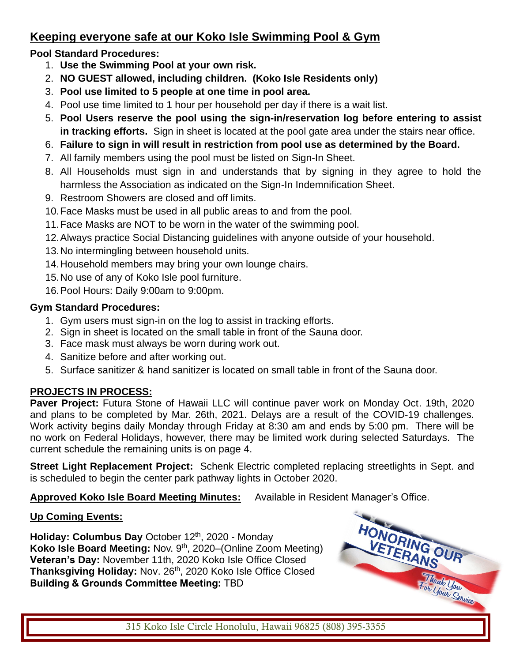## **Keeping everyone safe at our Koko Isle Swimming Pool & Gym**

### **Pool Standard Procedures:**

- 1. **Use the Swimming Pool at your own risk.**
- 2. **NO GUEST allowed, including children. (Koko Isle Residents only)**
- 3. **Pool use limited to 5 people at one time in pool area.**
- 4. Pool use time limited to 1 hour per household per day if there is a wait list.
- 5. **Pool Users reserve the pool using the sign-in/reservation log before entering to assist in tracking efforts.** Sign in sheet is located at the pool gate area under the stairs near office.
- 6. **Failure to sign in will result in restriction from pool use as determined by the Board.**
- 7. All family members using the pool must be listed on Sign-In Sheet.
- 8. All Households must sign in and understands that by signing in they agree to hold the harmless the Association as indicated on the Sign-In Indemnification Sheet.
- 9. Restroom Showers are closed and off limits.
- 10.Face Masks must be used in all public areas to and from the pool.
- 11.Face Masks are NOT to be worn in the water of the swimming pool.
- 12.Always practice Social Distancing guidelines with anyone outside of your household.
- 13.No intermingling between household units.
- 14.Household members may bring your own lounge chairs.
- 15.No use of any of Koko Isle pool furniture.
- 16.Pool Hours: Daily 9:00am to 9:00pm.

#### **Gym Standard Procedures:**

- 1. Gym users must sign-in on the log to assist in tracking efforts.
- 2. Sign in sheet is located on the small table in front of the Sauna door.
- 3. Face mask must always be worn during work out.
- 4. Sanitize before and after working out.
- 5. Surface sanitizer & hand sanitizer is located on small table in front of the Sauna door.

### **PROJECTS IN PROCESS:**

**Paver Project:** Futura Stone of Hawaii LLC will continue paver work on Monday Oct. 19th, 2020 and plans to be completed by Mar. 26th, 2021. Delays are a result of the COVID-19 challenges. Work activity begins daily Monday through Friday at 8:30 am and ends by 5:00 pm. There will be no work on Federal Holidays, however, there may be limited work during selected Saturdays. The current schedule the remaining units is on page 4.

**Street Light Replacement Project:** Schenk Electric completed replacing streetlights in Sept. and is scheduled to begin the center park pathway lights in October 2020.

**Approved Koko Isle Board Meeting Minutes:** Available in Resident Manager's Office.

### **Up Coming Events:**

**Holiday: Columbus Day** October 12 th, 2020 - Monday **Koko Isle Board Meeting: Nov. 9<sup>th</sup>, 2020–(Online Zoom Meeting) Veteran's Day:** November 11th, 2020 Koko Isle Office Closed Thanksgiving Holiday: Nov. 26<sup>th</sup>, 2020 Koko Isle Office Closed **Building & Grounds Committee Meeting:** TBD